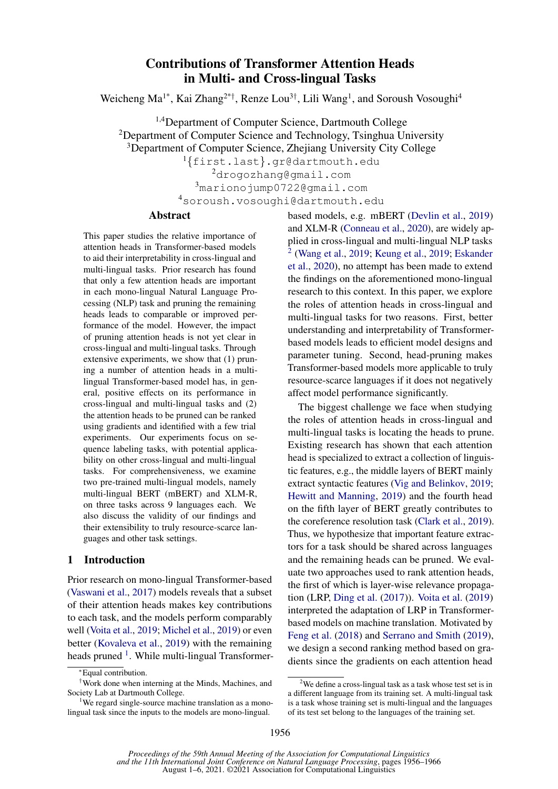# Contributions of Transformer Attention Heads in Multi- and Cross-lingual Tasks

Weicheng Ma<sup>1\*</sup>, Kai Zhang<sup>2\*†</sup>, Renze Lou<sup>3†</sup>, Lili Wang<sup>1</sup>, and Soroush Vosoughi<sup>4</sup>

1,4Department of Computer Science, Dartmouth College <sup>2</sup>Department of Computer Science and Technology, Tsinghua University <sup>3</sup>Department of Computer Science, Zhejiang University City College

<sup>1</sup>{first.last}.gr@dartmouth.edu

<sup>2</sup>drogozhang@gmail.com <sup>3</sup>marionojump0722@gmail.com <sup>4</sup>soroush.vosoughi@dartmouth.edu

# Abstract

This paper studies the relative importance of attention heads in Transformer-based models to aid their interpretability in cross-lingual and multi-lingual tasks. Prior research has found that only a few attention heads are important in each mono-lingual Natural Language Processing (NLP) task and pruning the remaining heads leads to comparable or improved performance of the model. However, the impact of pruning attention heads is not yet clear in cross-lingual and multi-lingual tasks. Through extensive experiments, we show that (1) pruning a number of attention heads in a multilingual Transformer-based model has, in general, positive effects on its performance in cross-lingual and multi-lingual tasks and (2) the attention heads to be pruned can be ranked using gradients and identified with a few trial experiments. Our experiments focus on sequence labeling tasks, with potential applicability on other cross-lingual and multi-lingual tasks. For comprehensiveness, we examine two pre-trained multi-lingual models, namely multi-lingual BERT (mBERT) and XLM-R, on three tasks across 9 languages each. We also discuss the validity of our findings and their extensibility to truly resource-scarce languages and other task settings.

### 1 Introduction

Prior research on mono-lingual Transformer-based [\(Vaswani et al.,](#page-10-0) [2017\)](#page-10-0) models reveals that a subset of their attention heads makes key contributions to each task, and the models perform comparably well [\(Voita et al.,](#page-10-1) [2019;](#page-10-1) [Michel et al.,](#page-9-0) [2019\)](#page-9-0) or even better [\(Kovaleva et al.,](#page-9-1) [2019\)](#page-9-1) with the remaining heads pruned <sup>[1](#page-0-0)</sup>. While multi-lingual Transformer-

based models, e.g. mBERT [\(Devlin et al.,](#page-9-2) [2019\)](#page-9-2) and XLM-R [\(Conneau et al.,](#page-9-3) [2020\)](#page-9-3), are widely applied in cross-lingual and multi-lingual NLP tasks [2](#page-0-1) [\(Wang et al.,](#page-10-2) [2019;](#page-10-2) [Keung et al.,](#page-9-4) [2019;](#page-9-4) [Eskander](#page-9-5) [et al.,](#page-9-5) [2020\)](#page-9-5), no attempt has been made to extend the findings on the aforementioned mono-lingual research to this context. In this paper, we explore the roles of attention heads in cross-lingual and multi-lingual tasks for two reasons. First, better understanding and interpretability of Transformerbased models leads to efficient model designs and parameter tuning. Second, head-pruning makes Transformer-based models more applicable to truly resource-scarce languages if it does not negatively affect model performance significantly.

The biggest challenge we face when studying the roles of attention heads in cross-lingual and multi-lingual tasks is locating the heads to prune. Existing research has shown that each attention head is specialized to extract a collection of linguistic features, e.g., the middle layers of BERT mainly extract syntactic features [\(Vig and Belinkov,](#page-10-3) [2019;](#page-10-3) [Hewitt and Manning,](#page-9-6) [2019\)](#page-9-6) and the fourth head on the fifth layer of BERT greatly contributes to the coreference resolution task [\(Clark et al.,](#page-9-7) [2019\)](#page-9-7). Thus, we hypothesize that important feature extractors for a task should be shared across languages and the remaining heads can be pruned. We evaluate two approaches used to rank attention heads, the first of which is layer-wise relevance propagation (LRP, [Ding et al.](#page-9-8) [\(2017\)](#page-9-8)). [Voita et al.](#page-10-1) [\(2019\)](#page-10-1) interpreted the adaptation of LRP in Transformerbased models on machine translation. Motivated by [Feng et al.](#page-9-9) [\(2018\)](#page-9-9) and [Serrano and Smith](#page-10-4) [\(2019\)](#page-10-4), we design a second ranking method based on gradients since the gradients on each attention head

<sup>∗</sup>Equal contribution.

<sup>†</sup>Work done when interning at the Minds, Machines, and Society Lab at Dartmouth College.

<span id="page-0-0"></span><sup>&</sup>lt;sup>1</sup>We regard single-source machine translation as a monolingual task since the inputs to the models are mono-lingual.

<span id="page-0-1"></span><sup>&</sup>lt;sup>2</sup>We define a cross-lingual task as a task whose test set is in a different language from its training set. A multi-lingual task is a task whose training set is multi-lingual and the languages of its test set belong to the languages of the training set.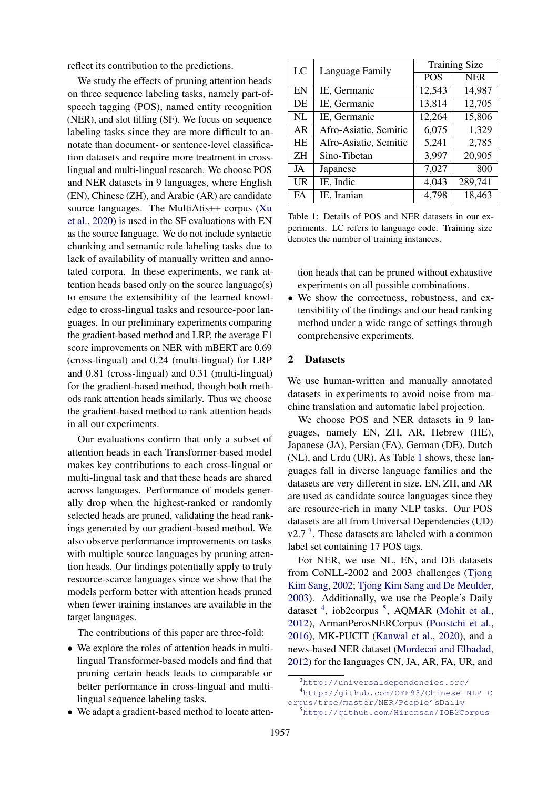reflect its contribution to the predictions.

We study the effects of pruning attention heads on three sequence labeling tasks, namely part-ofspeech tagging (POS), named entity recognition (NER), and slot filling (SF). We focus on sequence labeling tasks since they are more difficult to annotate than document- or sentence-level classification datasets and require more treatment in crosslingual and multi-lingual research. We choose POS and NER datasets in 9 languages, where English (EN), Chinese (ZH), and Arabic (AR) are candidate source languages. The MultiAtis++ corpus [\(Xu](#page-10-5) [et al.,](#page-10-5) [2020\)](#page-10-5) is used in the SF evaluations with EN as the source language. We do not include syntactic chunking and semantic role labeling tasks due to lack of availability of manually written and annotated corpora. In these experiments, we rank attention heads based only on the source language(s) to ensure the extensibility of the learned knowledge to cross-lingual tasks and resource-poor languages. In our preliminary experiments comparing the gradient-based method and LRP, the average F1 score improvements on NER with mBERT are 0.69 (cross-lingual) and 0.24 (multi-lingual) for LRP and 0.81 (cross-lingual) and 0.31 (multi-lingual) for the gradient-based method, though both methods rank attention heads similarly. Thus we choose the gradient-based method to rank attention heads in all our experiments.

Our evaluations confirm that only a subset of attention heads in each Transformer-based model makes key contributions to each cross-lingual or multi-lingual task and that these heads are shared across languages. Performance of models generally drop when the highest-ranked or randomly selected heads are pruned, validating the head rankings generated by our gradient-based method. We also observe performance improvements on tasks with multiple source languages by pruning attention heads. Our findings potentially apply to truly resource-scarce languages since we show that the models perform better with attention heads pruned when fewer training instances are available in the target languages.

The contributions of this paper are three-fold:

- We explore the roles of attention heads in multilingual Transformer-based models and find that pruning certain heads leads to comparable or better performance in cross-lingual and multilingual sequence labeling tasks.
- We adapt a gradient-based method to locate atten-

<span id="page-1-0"></span>

| LC        | Language Family       | <b>Training Size</b> |            |  |  |
|-----------|-----------------------|----------------------|------------|--|--|
|           |                       | POS                  | <b>NER</b> |  |  |
| EN        | IE, Germanic          | 12,543               | 14,987     |  |  |
| DE        | IE, Germanic          | 13,814               | 12,705     |  |  |
| NL        | IE, Germanic          | 12,264               | 15,806     |  |  |
| AR        | Afro-Asiatic, Semitic | 6,075                | 1,329      |  |  |
| <b>HE</b> | Afro-Asiatic, Semitic | 5,241                | 2,785      |  |  |
| ΖH        | Sino-Tibetan          | 3,997                | 20,905     |  |  |
| JA        | Japanese              | 7,027                | 800        |  |  |
| UR        | IE, Indic             | 4,043                | 289,741    |  |  |
| FA        | IE, Iranian           | 4,798                | 18,463     |  |  |

Table 1: Details of POS and NER datasets in our experiments. LC refers to language code. Training size denotes the number of training instances.

tion heads that can be pruned without exhaustive experiments on all possible combinations.

• We show the correctness, robustness, and extensibility of the findings and our head ranking method under a wide range of settings through comprehensive experiments.

#### 2 Datasets

We use human-written and manually annotated datasets in experiments to avoid noise from machine translation and automatic label projection.

We choose POS and NER datasets in 9 languages, namely EN, ZH, AR, Hebrew (HE), Japanese (JA), Persian (FA), German (DE), Dutch (NL), and Urdu (UR). As Table [1](#page-1-0) shows, these languages fall in diverse language families and the datasets are very different in size. EN, ZH, and AR are used as candidate source languages since they are resource-rich in many NLP tasks. Our POS datasets are all from Universal Dependencies (UD)  $v2.7<sup>3</sup>$  $v2.7<sup>3</sup>$  $v2.7<sup>3</sup>$ . These datasets are labeled with a common label set containing 17 POS tags.

For NER, we use NL, EN, and DE datasets from CoNLL-2002 and 2003 challenges [\(Tjong](#page-10-6) [Kim Sang,](#page-10-6) [2002;](#page-10-6) [Tjong Kim Sang and De Meulder,](#page-10-7) [2003\)](#page-10-7). Additionally, we use the People's Daily dataset <sup>[4](#page-1-2)</sup>, iob2corpus <sup>[5](#page-1-3)</sup>, AQMAR [\(Mohit et al.,](#page-9-10) [2012\)](#page-9-10), ArmanPerosNERCorpus [\(Poostchi et al.,](#page-10-8) [2016\)](#page-10-8), MK-PUCIT [\(Kanwal et al.,](#page-9-11) [2020\)](#page-9-11), and a news-based NER dataset [\(Mordecai and Elhadad,](#page-10-9) [2012\)](#page-10-9) for the languages CN, JA, AR, FA, UR, and

<span id="page-1-2"></span><span id="page-1-1"></span><sup>3</sup><http://universaldependencies.org/> <sup>4</sup>[http://github.com/OYE93/Chinese-NLP-C](http://github.com/OYE93/Chinese-NLP-Corpus/tree/master/NER/People)

[orpus/tree/master/NER/People'sDaily](http://github.com/OYE93/Chinese-NLP-Corpus/tree/master/NER/People)

<span id="page-1-3"></span><sup>5</sup><http://github.com/Hironsan/IOB2Corpus>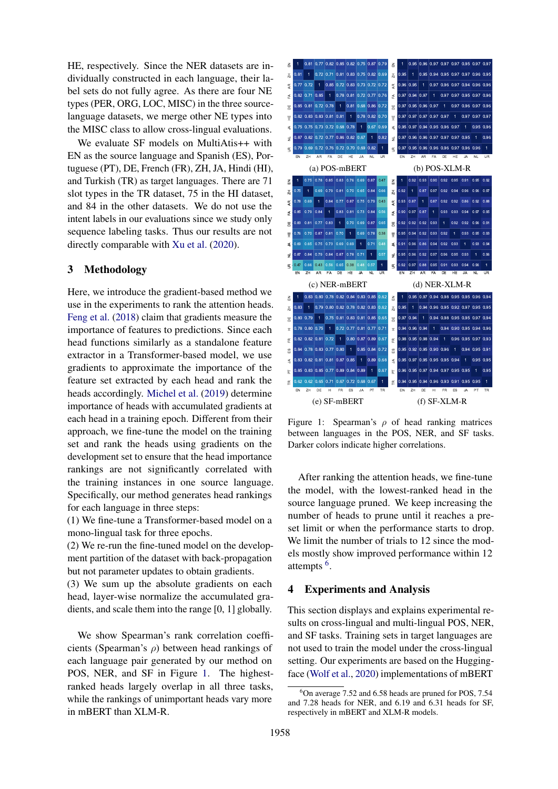HE, respectively. Since the NER datasets are individually constructed in each language, their label sets do not fully agree. As there are four NE types (PER, ORG, LOC, MISC) in the three sourcelanguage datasets, we merge other NE types into the MISC class to allow cross-lingual evaluations.

We evaluate SF models on MultiAtis++ with EN as the source language and Spanish (ES), Portuguese (PT), DE, French (FR), ZH, JA, Hindi (HI), and Turkish (TR) as target languages. There are 71 slot types in the TR dataset, 75 in the HI dataset, and 84 in the other datasets. We do not use the intent labels in our evaluations since we study only sequence labeling tasks. Thus our results are not directly comparable with [Xu et al.](#page-10-5) [\(2020\)](#page-10-5).

### 3 Methodology

Here, we introduce the gradient-based method we use in the experiments to rank the attention heads. [Feng et al.](#page-9-9) [\(2018\)](#page-9-9) claim that gradients measure the importance of features to predictions. Since each head functions similarly as a standalone feature extractor in a Transformer-based model, we use gradients to approximate the importance of the feature set extracted by each head and rank the heads accordingly. [Michel et al.](#page-9-0) [\(2019\)](#page-9-0) determine importance of heads with accumulated gradients at each head in a training epoch. Different from their approach, we fine-tune the model on the training set and rank the heads using gradients on the development set to ensure that the head importance rankings are not significantly correlated with the training instances in one source language. Specifically, our method generates head rankings for each language in three steps:

(1) We fine-tune a Transformer-based model on a mono-lingual task for three epochs.

(2) We re-run the fine-tuned model on the development partition of the dataset with back-propagation but not parameter updates to obtain gradients.

(3) We sum up the absolute gradients on each head, layer-wise normalize the accumulated gradients, and scale them into the range [0, 1] globally.

We show Spearman's rank correlation coefficients (Spearman's  $\rho$ ) between head rankings of each language pair generated by our method on POS, NER, and SF in Figure [1.](#page-2-0) The highestranked heads largely overlap in all three tasks, while the rankings of unimportant heads vary more in mBERT than XLM-R.

<span id="page-2-0"></span>

Figure 1: Spearman's  $\rho$  of head ranking matrices between languages in the POS, NER, and SF tasks. Darker colors indicate higher correlations.

After ranking the attention heads, we fine-tune the model, with the lowest-ranked head in the source language pruned. We keep increasing the number of heads to prune until it reaches a preset limit or when the performance starts to drop. We limit the number of trials to 12 since the models mostly show improved performance within 12 attempts<sup>[6](#page-2-1)</sup>.

## 4 Experiments and Analysis

This section displays and explains experimental results on cross-lingual and multi-lingual POS, NER, and SF tasks. Training sets in target languages are not used to train the model under the cross-lingual setting. Our experiments are based on the Huggingface [\(Wolf et al.,](#page-10-10) [2020\)](#page-10-10) implementations of mBERT

<span id="page-2-1"></span> $6$ On average 7.52 and 6.58 heads are pruned for POS, 7.54 and 7.28 heads for NER, and 6.19 and 6.31 heads for SF, respectively in mBERT and XLM-R models.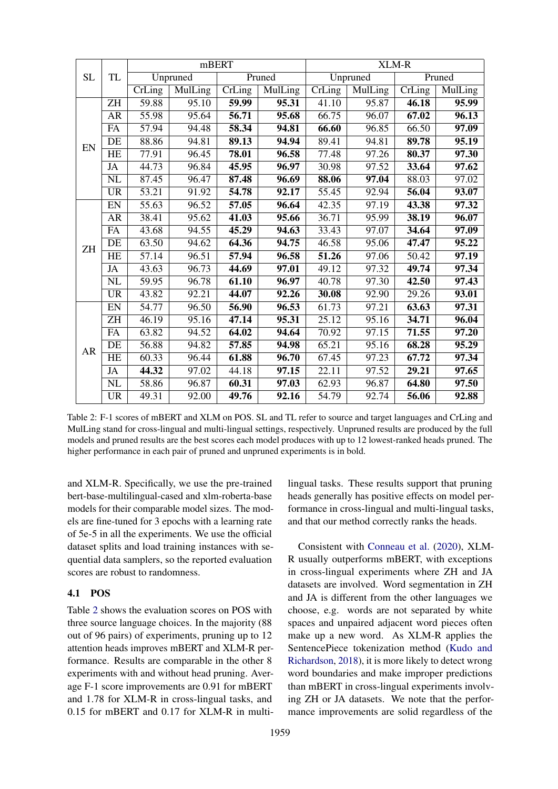<span id="page-3-0"></span>

|           |                        |                      | mBERT    |                            |         |                            |          | XLM-R                      |                |
|-----------|------------------------|----------------------|----------|----------------------------|---------|----------------------------|----------|----------------------------|----------------|
| <b>SL</b> | <b>TL</b>              |                      | Unpruned |                            | Pruned  |                            | Unpruned |                            | Pruned         |
|           |                        | $\overline{C}$ rLing | MulLing  | $\overline{\text{CrLing}}$ | MulLing | $\overline{\text{Crling}}$ | MulLing  | $\overline{\text{CrLing}}$ | <b>MulLing</b> |
|           | <b>ZH</b>              | 59.88                | 95.10    | 59.99                      | 95.31   | 41.10                      | 95.87    | 46.18                      | 95.99          |
|           | <b>AR</b>              | 55.98                | 95.64    | 56.71                      | 95.68   | 66.75                      | 96.07    | 67.02                      | 96.13          |
|           | FA                     | 57.94                | 94.48    | 58.34                      | 94.81   | 66.60                      | 96.85    | 66.50                      | 97.09          |
| EN        | DE                     | 88.86                | 94.81    | 89.13                      | 94.94   | 89.41                      | 94.81    | 89.78                      | 95.19          |
|           | HE                     | 77.91                | 96.45    | 78.01                      | 96.58   | 77.48                      | 97.26    | 80.37                      | 97.30          |
|           | JA                     | 44.73                | 96.84    | 45.95                      | 96.97   | 30.98                      | 97.52    | 33.64                      | 97.62          |
|           | NL                     | 87.45                | 96.47    | 87.48                      | 96.69   | 88.06                      | 97.04    | 88.03                      | 97.02          |
|           | $\overline{UR}$        | $\overline{53.21}$   | 91.92    | 54.78                      | 92.17   | $\overline{55.45}$         | 92.94    | 56.04                      | 93.07          |
|           | EN                     | 55.63                | 96.52    | 57.05                      | 96.64   | 42.35                      | 97.19    | 43.38                      | 97.32          |
|           | AR                     | 38.41                | 95.62    | 41.03                      | 95.66   | 36.71                      | 95.99    | 38.19                      | 96.07          |
|           | FA                     | 43.68                | 94.55    | 45.29                      | 94.63   | 33.43                      | 97.07    | 34.64                      | 97.09          |
| <b>ZH</b> | DE                     | 63.50                | 94.62    | 64.36                      | 94.75   | 46.58                      | 95.06    | 47.47                      | 95.22          |
|           | <b>HE</b>              | 57.14                | 96.51    | 57.94                      | 96.58   | 51.26                      | 97.06    | 50.42                      | 97.19          |
|           | JA                     | 43.63                | 96.73    | 44.69                      | 97.01   | 49.12                      | 97.32    | 49.74                      | 97.34          |
|           | $\overline{\text{NL}}$ | 59.95                | 96.78    | 61.10                      | 96.97   | 40.78                      | 97.30    | 42.50                      | 97.43          |
|           | <b>UR</b>              | 43.82                | 92.21    | 44.07                      | 92.26   | 30.08                      | 92.90    | 29.26                      | 93.01          |
|           | EN                     | 54.77                | 96.50    | 56.90                      | 96.53   | 61.73                      | 97.21    | 63.63                      | 97.31          |
|           | ZH                     | $\frac{46.19}{ }$    | 95.16    | 47.14                      | 95.31   | 25.12                      | 95.16    | 34.71                      | 96.04          |
|           | ${\rm FA}$             | 63.82                | 94.52    | 64.02                      | 94.64   | 70.92                      | 97.15    | 71.55                      | 97.20          |
| AR        | DE                     | 56.88                | 94.82    | 57.85                      | 94.98   | 65.21                      | 95.16    | 68.28                      | 95.29          |
|           | <b>HE</b>              | 60.33                | 96.44    | 61.88                      | 96.70   | 67.45                      | 97.23    | 67.72                      | 97.34          |
|           | <b>JA</b>              | 44.32                | 97.02    | 44.18                      | 97.15   | 22.11                      | 97.52    | 29.21                      | 97.65          |
|           | $\overline{\text{NL}}$ | 58.86                | 96.87    | 60.31                      | 97.03   | 62.93                      | 96.87    | 64.80                      | 97.50          |
|           | <b>UR</b>              | 49.31                | 92.00    | 49.76                      | 92.16   | 54.79                      | 92.74    | 56.06                      | 92.88          |

Table 2: F-1 scores of mBERT and XLM on POS. SL and TL refer to source and target languages and CrLing and MulLing stand for cross-lingual and multi-lingual settings, respectively. Unpruned results are produced by the full models and pruned results are the best scores each model produces with up to 12 lowest-ranked heads pruned. The higher performance in each pair of pruned and unpruned experiments is in bold.

and XLM-R. Specifically, we use the pre-trained bert-base-multilingual-cased and xlm-roberta-base models for their comparable model sizes. The models are fine-tuned for 3 epochs with a learning rate of 5e-5 in all the experiments. We use the official dataset splits and load training instances with sequential data samplers, so the reported evaluation scores are robust to randomness.

# 4.1 POS

Table [2](#page-3-0) shows the evaluation scores on POS with three source language choices. In the majority (88 out of 96 pairs) of experiments, pruning up to 12 attention heads improves mBERT and XLM-R performance. Results are comparable in the other 8 experiments with and without head pruning. Average F-1 score improvements are 0.91 for mBERT and 1.78 for XLM-R in cross-lingual tasks, and 0.15 for mBERT and 0.17 for XLM-R in multi-

lingual tasks. These results support that pruning heads generally has positive effects on model performance in cross-lingual and multi-lingual tasks, and that our method correctly ranks the heads.

Consistent with [Conneau et al.](#page-9-3) [\(2020\)](#page-9-3), XLM-R usually outperforms mBERT, with exceptions in cross-lingual experiments where ZH and JA datasets are involved. Word segmentation in ZH and JA is different from the other languages we choose, e.g. words are not separated by white spaces and unpaired adjacent word pieces often make up a new word. As XLM-R applies the SentencePiece tokenization method [\(Kudo and](#page-9-12) [Richardson,](#page-9-12) [2018\)](#page-9-12), it is more likely to detect wrong word boundaries and make improper predictions than mBERT in cross-lingual experiments involving ZH or JA datasets. We note that the performance improvements are solid regardless of the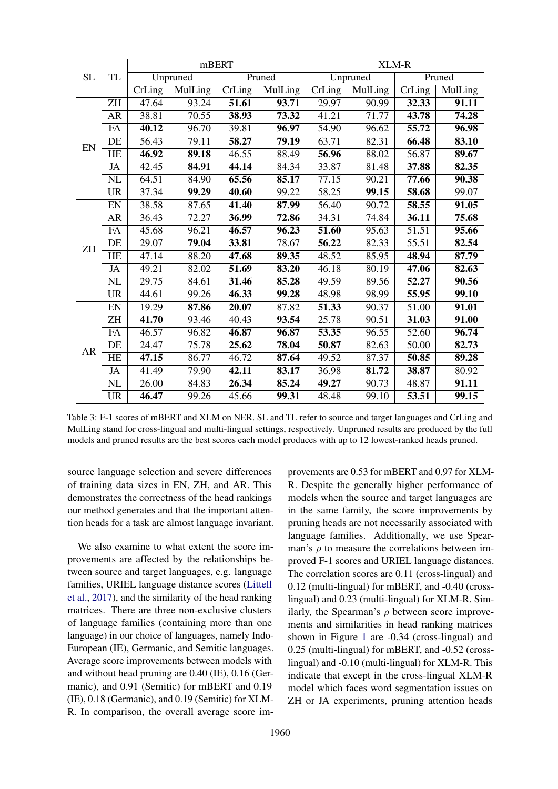<span id="page-4-0"></span>

|           |                        |                    |                | mBERT                      |                |                            |          | XLM-R                       |                |
|-----------|------------------------|--------------------|----------------|----------------------------|----------------|----------------------------|----------|-----------------------------|----------------|
| <b>SL</b> | <b>TL</b>              |                    | Unpruned       |                            | Pruned         |                            | Unpruned |                             | Pruned         |
|           |                        | CrLing             | <b>MulLing</b> | $\overline{\text{CrLing}}$ | <b>MulLing</b> | $\overline{\text{CrLing}}$ | MulLing  | $\overline{\text{CrL}}$ ing | <b>MulLing</b> |
|           | <b>ZH</b>              | 47.64              | 93.24          | 51.61                      | 93.71          | 29.97                      | 90.99    | 32.33                       | 91.11          |
|           | <b>AR</b>              | 38.81              | 70.55          | 38.93                      | 73.32          | 41.21                      | 71.77    | 43.78                       | 74.28          |
|           | FA                     | 40.12              | 96.70          | 39.81                      | 96.97          | 54.90                      | 96.62    | 55.72                       | 96.98          |
| EN        | DE                     | $\overline{56.43}$ | 79.11          | 58.27                      | 79.19          | 63.71                      | 82.31    | 66.48                       | 83.10          |
|           | HE                     | 46.92              | 89.18          | 46.55                      | 88.49          | 56.96                      | 88.02    | 56.87                       | 89.67          |
|           | JA                     | 42.45              | 84.91          | 44.14                      | 84.34          | 33.87                      | 81.48    | 37.88                       | 82.35          |
|           | NL                     | 64.51              | 84.90          | 65.56                      | 85.17          | 77.15                      | 90.21    | 77.66                       | 90.38          |
|           | $\overline{UR}$        | 37.34              | 99.29          | 40.60                      | 99.22          | 58.25                      | 99.15    | 58.68                       | 99.07          |
|           | ${\rm EN}$             | 38.58              | 87.65          | 41.40                      | 87.99          | 56.40                      | 90.72    | 58.55                       | 91.05          |
|           | <b>AR</b>              | 36.43              | 72.27          | 36.99                      | 72.86          | 34.31                      | 74.84    | 36.11                       | 75.68          |
|           | FA                     | 45.68              | 96.21          | 46.57                      | 96.23          | 51.60                      | 95.63    | $\overline{5}1.51$          | 95.66          |
| ZH        | DE                     | 29.07              | 79.04          | 33.81                      | 78.67          | 56.22                      | 82.33    | 55.51                       | 82.54          |
|           | <b>HE</b>              | 47.14              | 88.20          | 47.68                      | 89.35          | 48.52                      | 85.95    | 48.94                       | 87.79          |
|           | JA                     | 49.21              | 82.02          | 51.69                      | 83.20          | 46.18                      | 80.19    | 47.06                       | 82.63          |
|           | $\overline{\text{NL}}$ | 29.75              | 84.61          | 31.46                      | 85.28          | 49.59                      | 89.56    | 52.27                       | 90.56          |
|           | <b>UR</b>              | 44.61              | 99.26          | 46.33                      | 99.28          | 48.98                      | 98.99    | 55.95                       | 99.10          |
|           | ${\rm EN}$             | 19.29              | 87.86          | 20.07                      | 87.82          | 51.33                      | 90.37    | 51.00                       | 91.01          |
|           | <b>ZH</b>              | 41.70              | 93.46          | 40.43                      | 93.54          | 25.78                      | 90.51    | 31.03                       | 91.00          |
|           | FA                     | 46.57              | 96.82          | 46.87                      | 96.87          | 53.35                      | 96.55    | 52.60                       | 96.74          |
| AR        | DE                     | 24.47              | 75.78          | 25.62                      | 78.04          | 50.87                      | 82.63    | $\overline{50.00}$          | 82.73          |
|           | HE                     | 47.15              | 86.77          | 46.72                      | 87.64          | 49.52                      | 87.37    | 50.85                       | 89.28          |
|           | JA                     | 41.49              | 79.90          | 42.11                      | 83.17          | 36.98                      | 81.72    | 38.87                       | 80.92          |
|           | $\overline{\text{NL}}$ | 26.00              | 84.83          | 26.34                      | 85.24          | 49.27                      | 90.73    | 48.87                       | 91.11          |
|           | <b>UR</b>              | 46.47              | 99.26          | 45.66                      | 99.31          | 48.48                      | 99.10    | 53.51                       | 99.15          |

Table 3: F-1 scores of mBERT and XLM on NER. SL and TL refer to source and target languages and CrLing and MulLing stand for cross-lingual and multi-lingual settings, respectively. Unpruned results are produced by the full models and pruned results are the best scores each model produces with up to 12 lowest-ranked heads pruned.

source language selection and severe differences of training data sizes in EN, ZH, and AR. This demonstrates the correctness of the head rankings our method generates and that the important attention heads for a task are almost language invariant.

We also examine to what extent the score improvements are affected by the relationships between source and target languages, e.g. language families, URIEL language distance scores [\(Littell](#page-9-13) [et al.,](#page-9-13) [2017\)](#page-9-13), and the similarity of the head ranking matrices. There are three non-exclusive clusters of language families (containing more than one language) in our choice of languages, namely Indo-European (IE), Germanic, and Semitic languages. Average score improvements between models with and without head pruning are 0.40 (IE), 0.16 (Germanic), and 0.91 (Semitic) for mBERT and 0.19 (IE), 0.18 (Germanic), and 0.19 (Semitic) for XLM-R. In comparison, the overall average score im-

provements are 0.53 for mBERT and 0.97 for XLM-R. Despite the generally higher performance of models when the source and target languages are in the same family, the score improvements by pruning heads are not necessarily associated with language families. Additionally, we use Spearman's  $\rho$  to measure the correlations between improved F-1 scores and URIEL language distances. The correlation scores are 0.11 (cross-lingual) and 0.12 (multi-lingual) for mBERT, and -0.40 (crosslingual) and 0.23 (multi-lingual) for XLM-R. Similarly, the Spearman's  $\rho$  between score improvements and similarities in head ranking matrices shown in Figure [1](#page-2-0) are -0.34 (cross-lingual) and 0.25 (multi-lingual) for mBERT, and -0.52 (crosslingual) and -0.10 (multi-lingual) for XLM-R. This indicate that except in the cross-lingual XLM-R model which faces word segmentation issues on ZH or JA experiments, pruning attention heads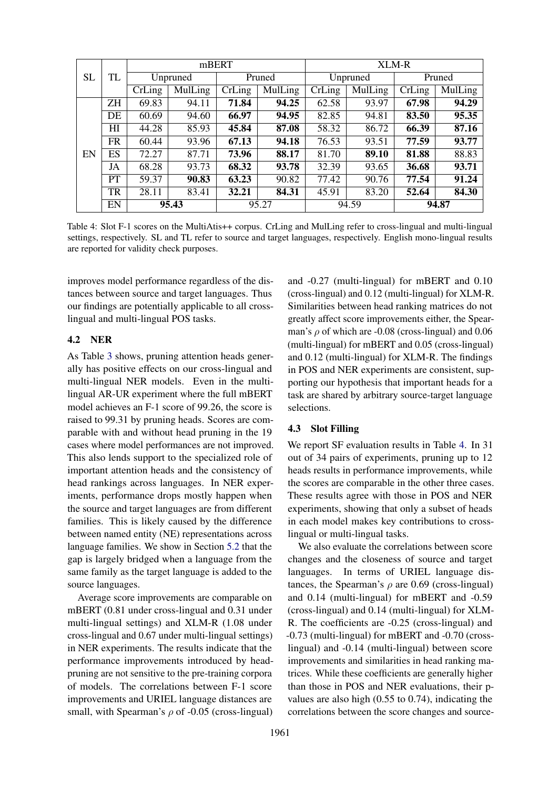<span id="page-5-0"></span>

|           |           |          |         | mBERT  |         | <b>XLM-R</b>   |         |        |         |
|-----------|-----------|----------|---------|--------|---------|----------------|---------|--------|---------|
| <b>SL</b> | TL        | Unpruned |         | Pruned |         | Unpruned       |         | Pruned |         |
|           |           | CrLing   | MulLing | CrLing | MulLing | CrLing         | MulLing | CrLing | MulLing |
|           | <b>ZH</b> | 69.83    | 94.11   | 71.84  | 94.25   | 62.58          | 93.97   | 67.98  | 94.29   |
|           | DE        | 60.69    | 94.60   | 66.97  | 94.95   | 82.85          | 94.81   | 83.50  | 95.35   |
|           | HI        | 44.28    | 85.93   | 45.84  | 87.08   | 58.32          | 86.72   | 66.39  | 87.16   |
|           | <b>FR</b> | 60.44    | 93.96   | 67.13  | 94.18   | 76.53          | 93.51   | 77.59  | 93.77   |
| EN        | ES        | 72.27    | 87.71   | 73.96  | 88.17   | 81.70          | 89.10   | 81.88  | 88.83   |
|           | JA        | 68.28    | 93.73   | 68.32  | 93.78   | 32.39          | 93.65   | 36.68  | 93.71   |
|           | <b>PT</b> | 59.37    | 90.83   | 63.23  | 90.82   | 77.42          | 90.76   | 77.54  | 91.24   |
|           | <b>TR</b> | 28.11    | 83.41   | 32.21  | 84.31   | 45.91          | 83.20   | 52.64  | 84.30   |
|           | EN        | 95.43    |         | 95.27  |         | 94.87<br>94.59 |         |        |         |

Table 4: Slot F-1 scores on the MultiAtis++ corpus. CrLing and MulLing refer to cross-lingual and multi-lingual settings, respectively. SL and TL refer to source and target languages, respectively. English mono-lingual results are reported for validity check purposes.

improves model performance regardless of the distances between source and target languages. Thus our findings are potentially applicable to all crosslingual and multi-lingual POS tasks.

## 4.2 NER

As Table [3](#page-4-0) shows, pruning attention heads generally has positive effects on our cross-lingual and multi-lingual NER models. Even in the multilingual AR-UR experiment where the full mBERT model achieves an F-1 score of 99.26, the score is raised to 99.31 by pruning heads. Scores are comparable with and without head pruning in the 19 cases where model performances are not improved. This also lends support to the specialized role of important attention heads and the consistency of head rankings across languages. In NER experiments, performance drops mostly happen when the source and target languages are from different families. This is likely caused by the difference between named entity (NE) representations across language families. We show in Section [5.2](#page-6-0) that the gap is largely bridged when a language from the same family as the target language is added to the source languages.

Average score improvements are comparable on mBERT (0.81 under cross-lingual and 0.31 under multi-lingual settings) and XLM-R (1.08 under cross-lingual and 0.67 under multi-lingual settings) in NER experiments. The results indicate that the performance improvements introduced by headpruning are not sensitive to the pre-training corpora of models. The correlations between F-1 score improvements and URIEL language distances are small, with Spearman's  $\rho$  of -0.05 (cross-lingual) and -0.27 (multi-lingual) for mBERT and 0.10 (cross-lingual) and 0.12 (multi-lingual) for XLM-R. Similarities between head ranking matrices do not greatly affect score improvements either, the Spearman's  $\rho$  of which are -0.08 (cross-lingual) and 0.06 (multi-lingual) for mBERT and 0.05 (cross-lingual) and 0.12 (multi-lingual) for XLM-R. The findings in POS and NER experiments are consistent, supporting our hypothesis that important heads for a task are shared by arbitrary source-target language selections.

## 4.3 Slot Filling

We report SF evaluation results in Table [4.](#page-5-0) In 31 out of 34 pairs of experiments, pruning up to 12 heads results in performance improvements, while the scores are comparable in the other three cases. These results agree with those in POS and NER experiments, showing that only a subset of heads in each model makes key contributions to crosslingual or multi-lingual tasks.

We also evaluate the correlations between score changes and the closeness of source and target languages. In terms of URIEL language distances, the Spearman's  $\rho$  are 0.69 (cross-lingual) and 0.14 (multi-lingual) for mBERT and -0.59 (cross-lingual) and 0.14 (multi-lingual) for XLM-R. The coefficients are -0.25 (cross-lingual) and -0.73 (multi-lingual) for mBERT and -0.70 (crosslingual) and -0.14 (multi-lingual) between score improvements and similarities in head ranking matrices. While these coefficients are generally higher than those in POS and NER evaluations, their pvalues are also high (0.55 to 0.74), indicating the correlations between the score changes and source-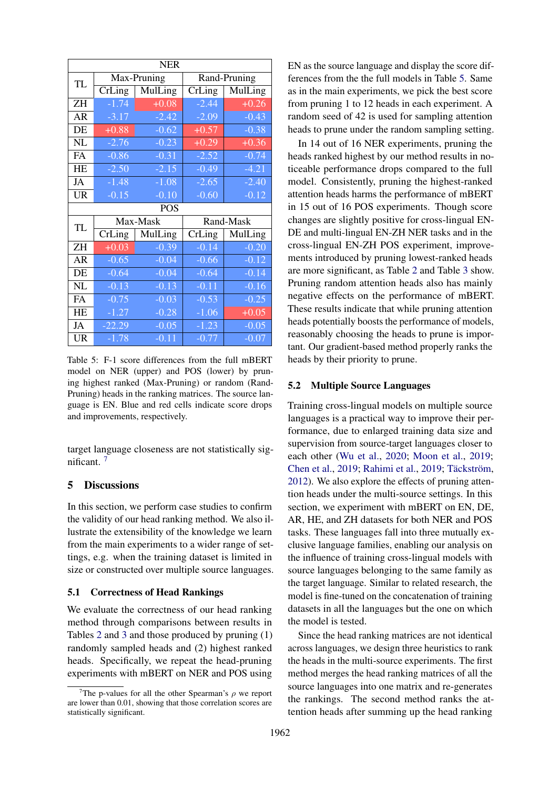<span id="page-6-2"></span>

| <b>NER</b> |                    |             |                            |              |  |  |  |  |
|------------|--------------------|-------------|----------------------------|--------------|--|--|--|--|
| TL         |                    | Max-Pruning |                            | Rand-Pruning |  |  |  |  |
|            | CrLing             | MulLing     | CrLing                     | MulLing      |  |  |  |  |
| <b>ZH</b>  | $-1.74$            | $+0.08$     | $-2.44$                    | $+0.26$      |  |  |  |  |
| <b>AR</b>  | $-3.17$            | $-2.42$     | $-2.09$                    | $-0.43$      |  |  |  |  |
| DE         | $\overline{+0.88}$ | $-0.62$     | $+0.57$                    | $-0.38$      |  |  |  |  |
| NL         | $-2.76$            | $-0.23$     | $+0.29$                    | $+0.36$      |  |  |  |  |
| FA         | $-0.86$            | $-0.31$     | $-2.52$                    | $-0.74$      |  |  |  |  |
| <b>HE</b>  | $-2.50$            | $-2.15$     | $-0.49$                    | $-4.21$      |  |  |  |  |
| JA         | $-1.48$            | $-1.08$     | $-2.65$                    | $-2.40$      |  |  |  |  |
| <b>UR</b>  | $-0.15$            | $-0.10$     | $-0.60$                    | $-0.12$      |  |  |  |  |
| <b>POS</b> |                    |             |                            |              |  |  |  |  |
|            |                    |             |                            |              |  |  |  |  |
|            |                    | Max-Mask    |                            | Rand-Mask    |  |  |  |  |
| <b>TL</b>  | CrLing             | MulLing     | $\overline{\text{CrLing}}$ | MulLing      |  |  |  |  |
| ZH         | $+0.03$            | $-0.39$     | $-0.14$                    | $-0.20$      |  |  |  |  |
| AR         | $-0.65$            | $-0.04$     | $-0.66$                    | $-0.12$      |  |  |  |  |
| DE         | $-0.64$            | $-0.04$     | $-0.64$                    | $-0.14$      |  |  |  |  |
| <b>NL</b>  | $-0.13$            | $-0.13$     | $-0.11$                    | $-0.16$      |  |  |  |  |
| FA         | $-0.75$            | $-0.03$     | $-0.53$                    | $-0.25$      |  |  |  |  |
| HE         | $-1.27$            | $-0.28$     | $-1.06$                    | $+0.05$      |  |  |  |  |
| JA         | $-22.29$           | $-0.05$     | $-1.23$                    | $-0.05$      |  |  |  |  |

Table 5: F-1 score differences from the full mBERT model on NER (upper) and POS (lower) by pruning highest ranked (Max-Pruning) or random (Rand-Pruning) heads in the ranking matrices. The source language is EN. Blue and red cells indicate score drops and improvements, respectively.

target language closeness are not statistically sig-nificant<sup>[7](#page-6-1)</sup>

### 5 Discussions

In this section, we perform case studies to confirm the validity of our head ranking method. We also illustrate the extensibility of the knowledge we learn from the main experiments to a wider range of settings, e.g. when the training dataset is limited in size or constructed over multiple source languages.

## 5.1 Correctness of Head Rankings

We evaluate the correctness of our head ranking method through comparisons between results in Tables [2](#page-3-0) and [3](#page-4-0) and those produced by pruning (1) randomly sampled heads and (2) highest ranked heads. Specifically, we repeat the head-pruning experiments with mBERT on NER and POS using

EN as the source language and display the score differences from the the full models in Table [5.](#page-6-2) Same as in the main experiments, we pick the best score from pruning 1 to 12 heads in each experiment. A random seed of 42 is used for sampling attention heads to prune under the random sampling setting.

In 14 out of 16 NER experiments, pruning the heads ranked highest by our method results in noticeable performance drops compared to the full model. Consistently, pruning the highest-ranked attention heads harms the performance of mBERT in 15 out of 16 POS experiments. Though score changes are slightly positive for cross-lingual EN-DE and multi-lingual EN-ZH NER tasks and in the cross-lingual EN-ZH POS experiment, improvements introduced by pruning lowest-ranked heads are more significant, as Table [2](#page-3-0) and Table [3](#page-4-0) show. Pruning random attention heads also has mainly negative effects on the performance of mBERT. These results indicate that while pruning attention heads potentially boosts the performance of models, reasonably choosing the heads to prune is important. Our gradient-based method properly ranks the heads by their priority to prune.

### <span id="page-6-0"></span>5.2 Multiple Source Languages

Training cross-lingual models on multiple source languages is a practical way to improve their performance, due to enlarged training data size and supervision from source-target languages closer to each other [\(Wu et al.,](#page-10-11) [2020;](#page-10-11) [Moon et al.,](#page-10-12) [2019;](#page-10-12) [Chen et al.,](#page-9-14) [2019;](#page-10-13) [Rahimi et al.,](#page-10-13) 2019; Täckström, [2012\)](#page-10-14). We also explore the effects of pruning attention heads under the multi-source settings. In this section, we experiment with mBERT on EN, DE, AR, HE, and ZH datasets for both NER and POS tasks. These languages fall into three mutually exclusive language families, enabling our analysis on the influence of training cross-lingual models with source languages belonging to the same family as the target language. Similar to related research, the model is fine-tuned on the concatenation of training datasets in all the languages but the one on which the model is tested.

Since the head ranking matrices are not identical across languages, we design three heuristics to rank the heads in the multi-source experiments. The first method merges the head ranking matrices of all the source languages into one matrix and re-generates the rankings. The second method ranks the attention heads after summing up the head ranking

<span id="page-6-1"></span><sup>&</sup>lt;sup>7</sup>The p-values for all the other Spearman's  $\rho$  we report are lower than 0.01, showing that those correlation scores are statistically significant.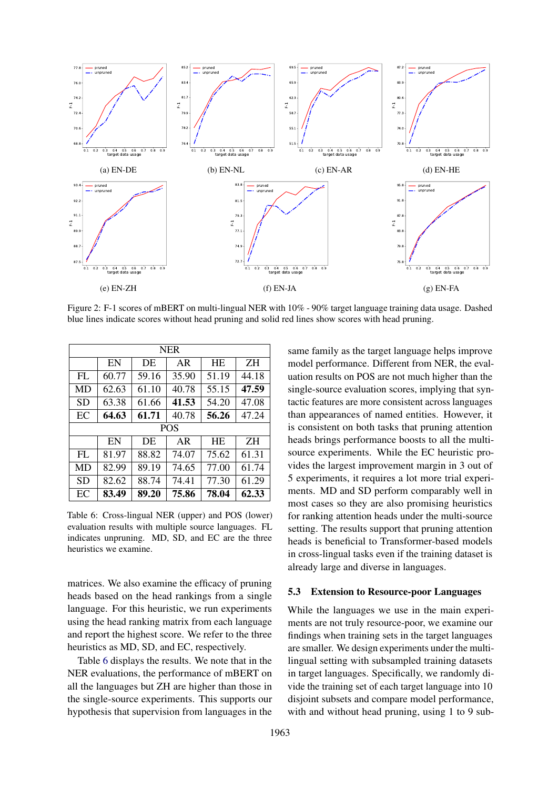<span id="page-7-1"></span>

Figure 2: F-1 scores of mBERT on multi-lingual NER with 10% - 90% target language training data usage. Dashed blue lines indicate scores without head pruning and solid red lines show scores with head pruning.

<span id="page-7-0"></span>

| <b>NER</b> |                                   |       |            |           |           |  |  |  |  |
|------------|-----------------------------------|-------|------------|-----------|-----------|--|--|--|--|
|            | EN                                | DE    | AR         | <b>HE</b> | <b>ZH</b> |  |  |  |  |
| FL         | 60.77                             | 59.16 | 35.90      | 51.19     | 44.18     |  |  |  |  |
| MD         | 62.63                             | 61.10 | 40.78      | 55.15     | 47.59     |  |  |  |  |
| SD         | 63.38                             | 61.66 | 41.53      | 54.20     | 47.08     |  |  |  |  |
| EC         | 64.63                             | 61.71 | 40.78      | 56.26     | 47.24     |  |  |  |  |
|            |                                   |       | <b>POS</b> |           |           |  |  |  |  |
|            | EN<br>ΖH<br>DE<br><b>HE</b><br>AR |       |            |           |           |  |  |  |  |
| FL.        | 81.97                             | 88.82 | 74.07      | 75.62     | 61.31     |  |  |  |  |
| MD         | 82.99                             | 89.19 | 74.65      | 77.00     | 61.74     |  |  |  |  |
| <b>SD</b>  | 82.62                             | 88.74 | 74.41      | 77.30     | 61.29     |  |  |  |  |
| EC         | 83.49                             | 89.20 | 75.86      | 78.04     | 62.33     |  |  |  |  |

Table 6: Cross-lingual NER (upper) and POS (lower) evaluation results with multiple source languages. FL indicates unpruning. MD, SD, and EC are the three heuristics we examine.

matrices. We also examine the efficacy of pruning heads based on the head rankings from a single language. For this heuristic, we run experiments using the head ranking matrix from each language and report the highest score. We refer to the three heuristics as MD, SD, and EC, respectively.

Table [6](#page-7-0) displays the results. We note that in the NER evaluations, the performance of mBERT on all the languages but ZH are higher than those in the single-source experiments. This supports our hypothesis that supervision from languages in the

same family as the target language helps improve model performance. Different from NER, the evaluation results on POS are not much higher than the single-source evaluation scores, implying that syntactic features are more consistent across languages than appearances of named entities. However, it is consistent on both tasks that pruning attention heads brings performance boosts to all the multisource experiments. While the EC heuristic provides the largest improvement margin in 3 out of 5 experiments, it requires a lot more trial experiments. MD and SD perform comparably well in most cases so they are also promising heuristics for ranking attention heads under the multi-source setting. The results support that pruning attention heads is beneficial to Transformer-based models in cross-lingual tasks even if the training dataset is already large and diverse in languages.

## 5.3 Extension to Resource-poor Languages

While the languages we use in the main experiments are not truly resource-poor, we examine our findings when training sets in the target languages are smaller. We design experiments under the multilingual setting with subsampled training datasets in target languages. Specifically, we randomly divide the training set of each target language into 10 disjoint subsets and compare model performance, with and without head pruning, using 1 to 9 sub-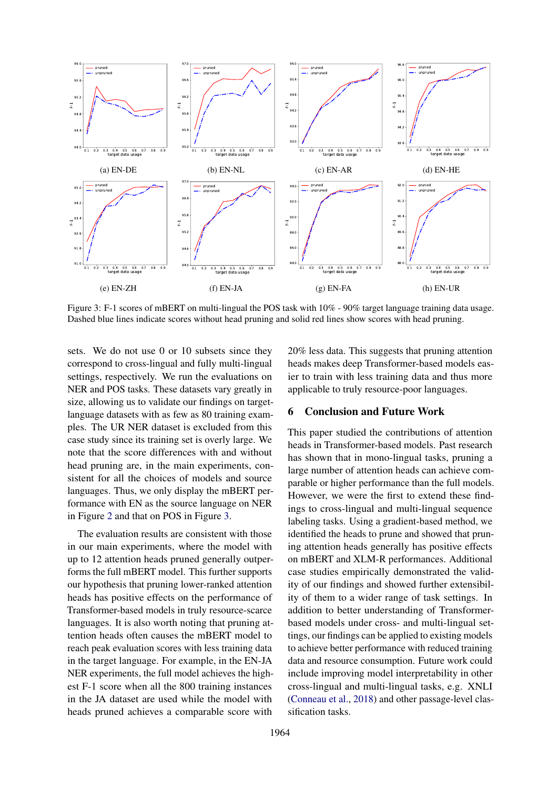<span id="page-8-0"></span>

Figure 3: F-1 scores of mBERT on multi-lingual the POS task with 10% - 90% target language training data usage. Dashed blue lines indicate scores without head pruning and solid red lines show scores with head pruning.

sets. We do not use 0 or 10 subsets since they correspond to cross-lingual and fully multi-lingual settings, respectively. We run the evaluations on NER and POS tasks. These datasets vary greatly in size, allowing us to validate our findings on targetlanguage datasets with as few as 80 training examples. The UR NER dataset is excluded from this case study since its training set is overly large. We note that the score differences with and without head pruning are, in the main experiments, consistent for all the choices of models and source languages. Thus, we only display the mBERT performance with EN as the source language on NER in Figure [2](#page-7-1) and that on POS in Figure [3.](#page-8-0)

The evaluation results are consistent with those in our main experiments, where the model with up to 12 attention heads pruned generally outperforms the full mBERT model. This further supports our hypothesis that pruning lower-ranked attention heads has positive effects on the performance of Transformer-based models in truly resource-scarce languages. It is also worth noting that pruning attention heads often causes the mBERT model to reach peak evaluation scores with less training data in the target language. For example, in the EN-JA NER experiments, the full model achieves the highest F-1 score when all the 800 training instances in the JA dataset are used while the model with heads pruned achieves a comparable score with 20% less data. This suggests that pruning attention heads makes deep Transformer-based models easier to train with less training data and thus more applicable to truly resource-poor languages.

## 6 Conclusion and Future Work

This paper studied the contributions of attention heads in Transformer-based models. Past research has shown that in mono-lingual tasks, pruning a large number of attention heads can achieve comparable or higher performance than the full models. However, we were the first to extend these findings to cross-lingual and multi-lingual sequence labeling tasks. Using a gradient-based method, we identified the heads to prune and showed that pruning attention heads generally has positive effects on mBERT and XLM-R performances. Additional case studies empirically demonstrated the validity of our findings and showed further extensibility of them to a wider range of task settings. In addition to better understanding of Transformerbased models under cross- and multi-lingual settings, our findings can be applied to existing models to achieve better performance with reduced training data and resource consumption. Future work could include improving model interpretability in other cross-lingual and multi-lingual tasks, e.g. XNLI [\(Conneau et al.,](#page-9-15) [2018\)](#page-9-15) and other passage-level classification tasks.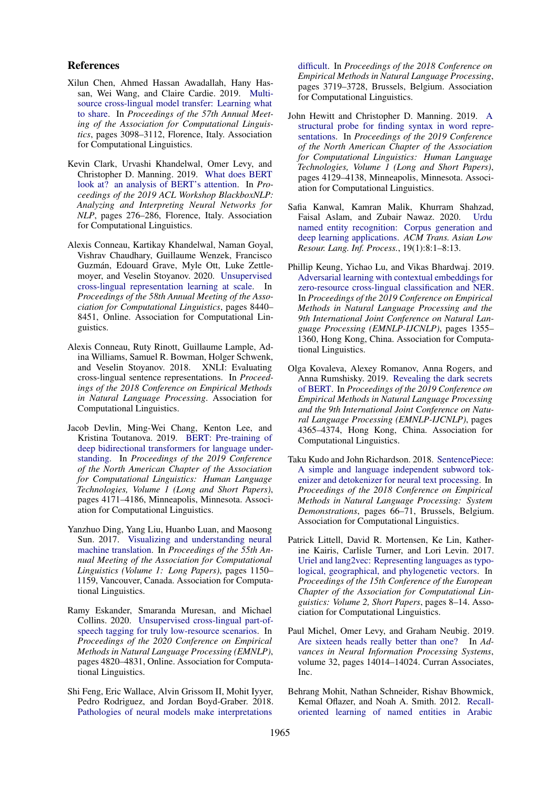#### References

- <span id="page-9-14"></span>Xilun Chen, Ahmed Hassan Awadallah, Hany Hassan, Wei Wang, and Claire Cardie. 2019. [Multi](https://doi.org/10.18653/v1/P19-1299)[source cross-lingual model transfer: Learning what](https://doi.org/10.18653/v1/P19-1299) [to share.](https://doi.org/10.18653/v1/P19-1299) In *Proceedings of the 57th Annual Meeting of the Association for Computational Linguistics*, pages 3098–3112, Florence, Italy. Association for Computational Linguistics.
- <span id="page-9-7"></span>Kevin Clark, Urvashi Khandelwal, Omer Levy, and Christopher D. Manning. 2019. [What does BERT](https://doi.org/10.18653/v1/W19-4828) [look at? an analysis of BERT's attention.](https://doi.org/10.18653/v1/W19-4828) In *Proceedings of the 2019 ACL Workshop BlackboxNLP: Analyzing and Interpreting Neural Networks for NLP*, pages 276–286, Florence, Italy. Association for Computational Linguistics.
- <span id="page-9-3"></span>Alexis Conneau, Kartikay Khandelwal, Naman Goyal, Vishrav Chaudhary, Guillaume Wenzek, Francisco Guzmán, Edouard Grave, Myle Ott, Luke Zettlemoyer, and Veselin Stoyanov. 2020. [Unsupervised](https://doi.org/10.18653/v1/2020.acl-main.747) [cross-lingual representation learning at scale.](https://doi.org/10.18653/v1/2020.acl-main.747) In *Proceedings of the 58th Annual Meeting of the Association for Computational Linguistics*, pages 8440– 8451, Online. Association for Computational Linguistics.
- <span id="page-9-15"></span>Alexis Conneau, Ruty Rinott, Guillaume Lample, Adina Williams, Samuel R. Bowman, Holger Schwenk, and Veselin Stoyanov. 2018. XNLI: Evaluating cross-lingual sentence representations. In *Proceedings of the 2018 Conference on Empirical Methods in Natural Language Processing*. Association for Computational Linguistics.
- <span id="page-9-2"></span>Jacob Devlin, Ming-Wei Chang, Kenton Lee, and Kristina Toutanova. 2019. [BERT: Pre-training of](https://doi.org/10.18653/v1/N19-1423) [deep bidirectional transformers for language under](https://doi.org/10.18653/v1/N19-1423)[standing.](https://doi.org/10.18653/v1/N19-1423) In *Proceedings of the 2019 Conference of the North American Chapter of the Association for Computational Linguistics: Human Language Technologies, Volume 1 (Long and Short Papers)*, pages 4171–4186, Minneapolis, Minnesota. Association for Computational Linguistics.
- <span id="page-9-8"></span>Yanzhuo Ding, Yang Liu, Huanbo Luan, and Maosong Sun. 2017. [Visualizing and understanding neural](https://doi.org/10.18653/v1/P17-1106) [machine translation.](https://doi.org/10.18653/v1/P17-1106) In *Proceedings of the 55th Annual Meeting of the Association for Computational Linguistics (Volume 1: Long Papers)*, pages 1150– 1159, Vancouver, Canada. Association for Computational Linguistics.
- <span id="page-9-5"></span>Ramy Eskander, Smaranda Muresan, and Michael Collins. 2020. [Unsupervised cross-lingual part-of](https://doi.org/10.18653/v1/2020.emnlp-main.391)[speech tagging for truly low-resource scenarios.](https://doi.org/10.18653/v1/2020.emnlp-main.391) In *Proceedings of the 2020 Conference on Empirical Methods in Natural Language Processing (EMNLP)*, pages 4820–4831, Online. Association for Computational Linguistics.
- <span id="page-9-9"></span>Shi Feng, Eric Wallace, Alvin Grissom II, Mohit Iyyer, Pedro Rodriguez, and Jordan Boyd-Graber. 2018. [Pathologies of neural models make interpretations](https://doi.org/10.18653/v1/D18-1407)

[difficult.](https://doi.org/10.18653/v1/D18-1407) In *Proceedings of the 2018 Conference on Empirical Methods in Natural Language Processing*, pages 3719–3728, Brussels, Belgium. Association for Computational Linguistics.

- <span id="page-9-6"></span>John Hewitt and Christopher D. Manning. 2019. [A](https://doi.org/10.18653/v1/N19-1419) [structural probe for finding syntax in word repre](https://doi.org/10.18653/v1/N19-1419)[sentations.](https://doi.org/10.18653/v1/N19-1419) In *Proceedings of the 2019 Conference of the North American Chapter of the Association for Computational Linguistics: Human Language Technologies, Volume 1 (Long and Short Papers)*, pages 4129–4138, Minneapolis, Minnesota. Association for Computational Linguistics.
- <span id="page-9-11"></span>Safia Kanwal, Kamran Malik, Khurram Shahzad, Faisal Aslam, and Zubair Nawaz. 2020. [Urdu](https://doi.org/10.1145/3329710) [named entity recognition: Corpus generation and](https://doi.org/10.1145/3329710) [deep learning applications.](https://doi.org/10.1145/3329710) *ACM Trans. Asian Low Resour. Lang. Inf. Process.*, 19(1):8:1–8:13.
- <span id="page-9-4"></span>Phillip Keung, Yichao Lu, and Vikas Bhardwaj. 2019. [Adversarial learning with contextual embeddings for](https://doi.org/10.18653/v1/D19-1138) [zero-resource cross-lingual classification and NER.](https://doi.org/10.18653/v1/D19-1138) In *Proceedings of the 2019 Conference on Empirical Methods in Natural Language Processing and the 9th International Joint Conference on Natural Language Processing (EMNLP-IJCNLP)*, pages 1355– 1360, Hong Kong, China. Association for Computational Linguistics.
- <span id="page-9-1"></span>Olga Kovaleva, Alexey Romanov, Anna Rogers, and Anna Rumshisky. 2019. [Revealing the dark secrets](https://doi.org/10.18653/v1/D19-1445) [of BERT.](https://doi.org/10.18653/v1/D19-1445) In *Proceedings of the 2019 Conference on Empirical Methods in Natural Language Processing and the 9th International Joint Conference on Natural Language Processing (EMNLP-IJCNLP)*, pages 4365–4374, Hong Kong, China. Association for Computational Linguistics.
- <span id="page-9-12"></span>Taku Kudo and John Richardson. 2018. [SentencePiece:](https://doi.org/10.18653/v1/D18-2012) [A simple and language independent subword tok](https://doi.org/10.18653/v1/D18-2012)[enizer and detokenizer for neural text processing.](https://doi.org/10.18653/v1/D18-2012) In *Proceedings of the 2018 Conference on Empirical Methods in Natural Language Processing: System Demonstrations*, pages 66–71, Brussels, Belgium. Association for Computational Linguistics.
- <span id="page-9-13"></span>Patrick Littell, David R. Mortensen, Ke Lin, Katherine Kairis, Carlisle Turner, and Lori Levin. 2017. [Uriel and lang2vec: Representing languages as typo](http://aclweb.org/anthology/E17-2002)[logical, geographical, and phylogenetic vectors.](http://aclweb.org/anthology/E17-2002) In *Proceedings of the 15th Conference of the European Chapter of the Association for Computational Linguistics: Volume 2, Short Papers*, pages 8–14. Association for Computational Linguistics.
- <span id="page-9-0"></span>Paul Michel, Omer Levy, and Graham Neubig. 2019. [Are sixteen heads really better than one?](https://proceedings.neurips.cc/paper/2019/file/2c601ad9d2ff9bc8b282670cdd54f69f-Paper.pdf) In *Advances in Neural Information Processing Systems*, volume 32, pages 14014–14024. Curran Associates, Inc.
- <span id="page-9-10"></span>Behrang Mohit, Nathan Schneider, Rishav Bhowmick, Kemal Oflazer, and Noah A. Smith. 2012. [Recall](https://www.aclweb.org/anthology/E12-1017)[oriented learning of named entities in Arabic](https://www.aclweb.org/anthology/E12-1017)